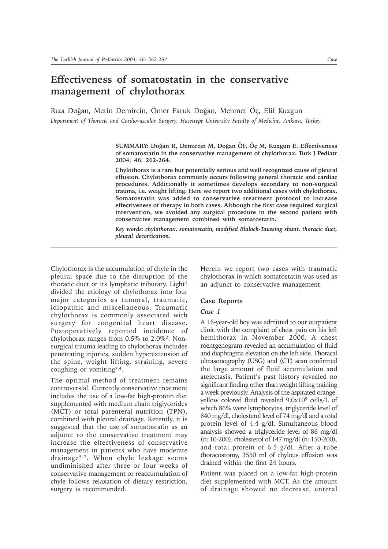# **Effectiveness of somatostatin in the conservative management of chylothorax**

Rıza Doğan, Metin Demircin, Ömer Faruk Doğan, Mehmet Öç, Elif Kuzgun *Department of Thoracic and Cardiovascular Surgery, Hacettepe University Faculty of Medicine, Ankara, Turkey*

> **SUMMARY: Doðan R, Demircin M, Doðan ÖF, Öç M, Kuzgun E. Effectiveness of somatostatin in the conservative management of chylothorax. Turk J Pediatr 2004; 46: 262-264.**

> **Chylothorax is a rare but potentially serious and well recognized cause of pleural effusion. Chylothorax commonly occurs following general thoracic and cardiac procedures. Additionally it sometimes develops secondary to non-surgical trauma, i.e. weight lifting. Here we report two additional cases with chylothorax. Somatostatin was added to conservative treatment protocol to increase effectiveness of therapy in both cases. Although the first case required surgical intervention, we avoided any surgical procedure in the second patient with conservative management combined with somatostatin.**

> *Key words: chylothorax, somatostatin, modified Blalock-Taussing shunt, thoracic duct, pleural decortication.*

Chylothorax is the accumulation of chyle in the pleural space due to the disruption of the thoracic duct or its lymphatic tributary. Light $1$ divided the etiology of chylothorax into four major categories as tumoral, traumatic, idiopathic and miscellaneous. Traumatic chylothorax is commonly associated with surgery for congenital heart disease. Postoperatively reported incidence of chylothorax ranges from 0.5% to 2.0%2. Nonsurgical trauma leading to chylothorax includes penetrating injuries, sudden hyperextension of the spine, weight lifting, straining, severe coughing or vomiting3,4.

The optimal method of treatment remains controversial. Currently conservative treatment includes the use of a low-fat high-protein diet supplemented with medium chain triglycerides (MCT) or total parenteral nutrition (TPN), combined with pleural drainage. Recently, it is suggested that the use of somatostatin as an adjunct to the conservative treatment may increase the effectiveness of conservative management in patients who have moderate drainage5-7. When chyle leakage seems undiminished after three or four weeks of conservative management or reaccumulation of chyle follows relaxation of dietary restriction, surgery is recommended.

Herein we report two cases with traumatic chylothorax in which somatostatin was used as an adjunct to conservative management.

#### **Case Reports**

## *Case 1*

A 16-year-old boy was admitted to our outpatient clinic with the complaint of chest pain on his left hemithorax in November 2000. A chest roentgenogram revealed an accumulation of fluid and diaphragma elevation on the left side. Thoracal ultrasonography (USG) and (CT) scan confirmed the large amount of fluid accumulation and atelectasis. Patient's past history revealed no significant finding other than weight lifting training a week previously. Analysis of the aspirated orangeyellow colored fluid revealed  $9.0x10<sup>9</sup>$  cells/L of which 86% were lymphocytes, triglyceride level of 840 mg/dl, cholesterol level of 74 mg/dl and a total protein level of 4.4 g/dl. Simultaneous blood analysis showed a triglyceride level of 86 mg/dl (n: 10-200), cholesterol of 147 mg/dl (n: 150-200), and total protein of 6.5 g/dl. After a tube thoracostomy, 3550 ml of chylous effusion was drained within the first 24 hours.

Patient was placed on a low-fat high-protein diet supplemented with MCT. As the amount of drainage showed no decrease, enteral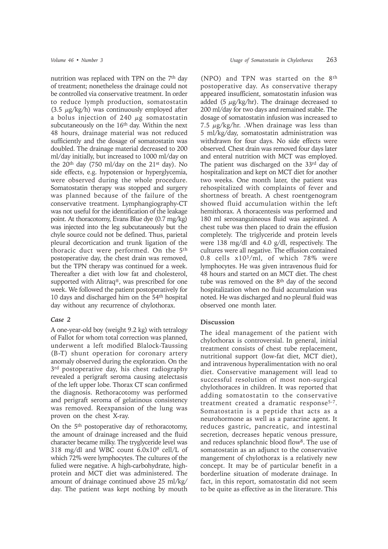nutrition was replaced with TPN on the  $7<sup>th</sup>$  day of treatment; nonetheless the drainage could not be controlled via conservative treatment. In order to reduce lymph production, somatostatin (3.5  $\mu$ g/kg/h) was continuously employed after a bolus injection of 240  $\mu$ g somatostatin subcutaneously on the 16<sup>th</sup> day. Within the next 48 hours, drainage material was not reduced sufficiently and the dosage of somatostatin was doubled. The drainage material decreased to 200 ml/day initially, but increased to 1000 ml/day on the  $20<sup>th</sup>$  day (750 ml/day on the  $21<sup>st</sup>$  day). No side effects, e.g. hypotension or hyperglycemia, were observed during the whole procedure. Somatostatin therapy was stopped and surgery was planned because of the failure of the conservative treatment. Lymphangiography-CT was not useful for the identification of the leakage point. At thoracotomy, Evans Blue dye (0.7 mg/kg) was injected into the leg subcutaneously but the chyle source could not be defined. Thus, parietal pleural decortication and trunk ligation of the thoracic duct were performed. On the 5th postoperative day, the chest drain was removed, but the TPN therapy was continued for a week. Thereafter a diet with low fat and cholesterol, supported with Alitraq®, was prescribed for one week. We followed the patient postoperatively for 10 days and discharged him on the 54th hospital day without any recurrence of chylothorax.

## *Case 2*

A one-year-old boy (weight 9.2 kg) with tetralogy of Fallot for whom total correction was planned, underwent a left modified Blalock-Taussing (B-T) shunt operation for coronary artery anomaly observed during the exploration. On the 3<sup>rd</sup> postoperative day, his chest radiography revealed a perigraft seroma causing atelectasis of the left upper lobe. Thorax CT scan confirmed the diagnosis. Rethoracotomy was performed and perigraft seroma of gelatinous consistency was removed. Reexpansion of the lung was proven on the chest X-ray.

On the 5th postoperative day of rethoracotomy, the amount of drainage increased and the fluid character became milky. The tryglyceride level was 318 mg/dl and WBC count 6.0x109 cell/L of which 72% were lymphocytes. The cultures of the fulied were negative. A high-carbohydrate, highprotein and MCT diet was administered. The amount of drainage continued above 25 ml/kg/ day. The patient was kept nothing by mouth

(NPO) and TPN was started on the 8th postoperative day. As conservative therapy appeared insufficient, somatostatin infusion was added (5  $\mu$ g/kg/hr). The drainage decreased to 200 ml/day for two days and remained stable. The dosage of somatostatin infusion was increased to 7.5  $\mu$ g/kg/hr. .When drainage was less than 5 ml/kg/day, somatostatin administration was withdrawn for four days. No side effects were observed. Chest drain was removed four days later and enteral nutrition with MCT was employed. The patient was discharged on the 33rd day of hospitalization and kept on MCT diet for another two weeks. One month later, the patient was rehospitalized with complaints of fever and shortness of breath. A chest roentgenogram showed fluid accumulation within the left hemithorax. A thoracentesis was performed and 180 ml serosanguineous fluid was aspirated. A chest tube was then placed to drain the effusion completely. The triglyceride and protein levels were 138 mg/dl and 4.0 g/dl, respectively. The cultures were all negative. The effusion contained 0.8 cells x103/ml, of which 78% were lymphocytes. He was given intravenous fluid for 48 hours and started on an MCT diet. The chest tube was removed on the 8<sup>th</sup> day of the second hospitalization when no fluid accumulation was noted. He was discharged and no pleural fluid was observed one month later.

## **Discussion**

The ideal management of the patient with chylothorax is controversial. In general, initial treatment consists of chest tube replacement, nutritional support (low-fat diet, MCT diet), and intravenous hyperalimentation with no oral diet. Conservative management will lead to successful resolution of most non-surgical chylothoraces in children. It was reported that adding somatostatin to the conservative treatment created a dramatic response<sup>5-7</sup>. Somatostatin is a peptide that acts as a neurohormone as well as a paracrine agent. It reduces gastric, pancreatic, and intestinal secretion, decreases hepatic venous pressure, and reduces splanchnic blood flow8. The use of somatostatin as an adjunct to the conservative mangement of chylothorax is a relatively new concept. It may be of particular benefit in a borderline situation of moderate drainage. In fact, in this report, somatostatin did not seem to be quite as effective as in the literature. This